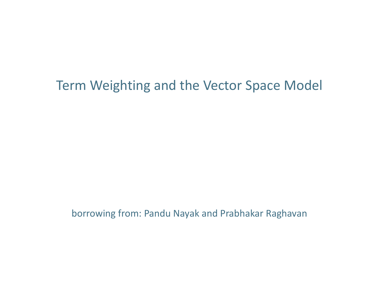#### Term Weighting and the Vector Space Model

borrowing from: Pandu Nayak and Prabhakar Raghavan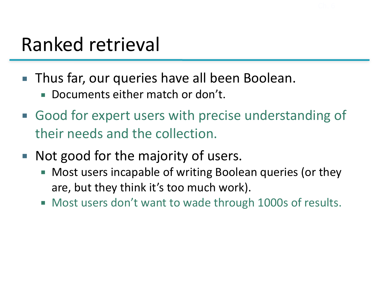#### Ranked retrieval

- Thus far, our queries have all been Boolean.
	- Documents either match or don't.
- Good for expert users with precise understanding of their needs and the collection.
- Not good for the majority of users.
	- Most users incapable of writing Boolean queries (or they are, but they think it's too much work).
	- Most users don't want to wade through 1000s of results.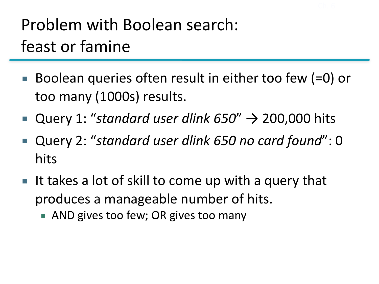#### Problem with Boolean search: feast or famine

- Boolean queries often result in either too few  $(=0)$  or too many (1000s) results.
- Query 1: "*standard user dlink*  $650''$   $\rightarrow$  200,000 hits
- Query 2: "standard user dlink 650 no card found": 0 hits
- $\blacksquare$  It takes a lot of skill to come up with a query that produces a manageable number of hits.
	- AND gives too few; OR gives too many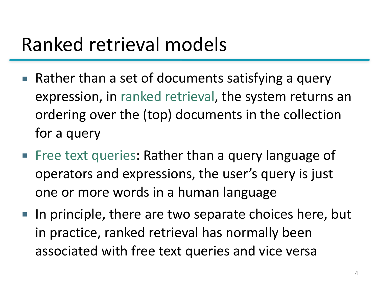#### Ranked retrieval models

- $\blacksquare$  Rather than a set of documents satisfying a query expression, in ranked retrieval, the system returns an ordering over the (top) documents in the collection for a query
- Free text queries: Rather than a query language of operators and expressions, the user's query is just one or more words in a human language
- In principle, there are two separate choices here, but in practice, ranked retrieval has normally been associated with free text queries and vice versa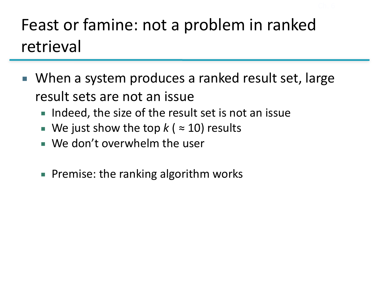#### Feast or famine: not a problem in ranked retrieval

- When a system produces a ranked result set, large result sets are not an issue
	- Indeed, the size of the result set is not an issue
	- **■** We just show the top  $k$  ( $\approx$  10) results
	- $\blacksquare$  We don't overwhelm the user
	- Premise: the ranking algorithm works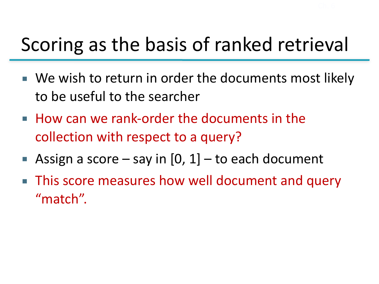## Scoring as the basis of ranked retrieval

- We wish to return in order the documents most likely to be useful to the searcher
- How can we rank-order the documents in the collection with respect to a query?
- Assign a score say in  $[0, 1]$  to each document
- **This score measures how well document and query** "match".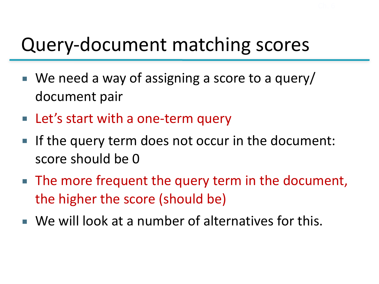#### Query-document matching scores

- $\blacksquare$  We need a way of assigning a score to a query/ document pair
- Let's start with a one-term query
- If the query term does not occur in the document: score should be 0
- The more frequent the query term in the document, the higher the score (should be)
- We will look at a number of alternatives for this.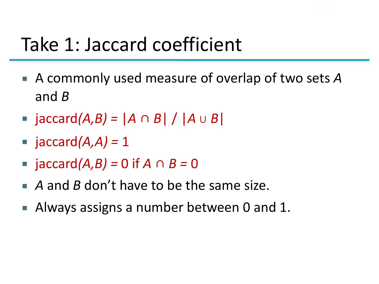#### Take 1: Jaccard coefficient

- A commonly used measure of overlap of two sets A and *B*
- jaccard*(A,B)* =  $|A \cap B| / |A \cup B|$
- $\blacksquare$  jaccard $(A, A) = 1$
- jaccard*(A,B)* = 0 if *A* ∩ *B* = 0
- *A* and *B* don't have to be the same size.
- Always assigns a number between 0 and 1.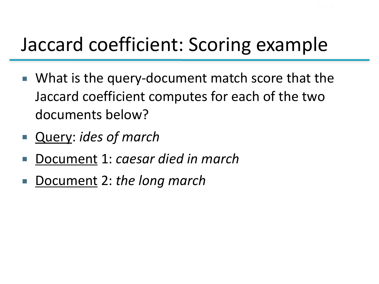## Jaccard coefficient: Scoring example

- What is the query-document match score that the Jaccard coefficient computes for each of the two documents below?
- Query: *ides of march*
- Document 1: *caesar died in march*
- Document 2: *the long march*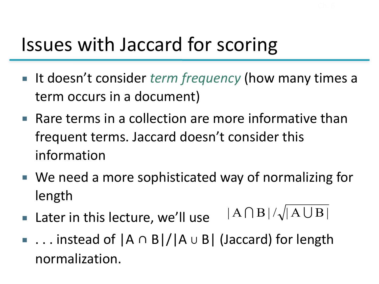## Issues with Jaccard for scoring

- It doesn't consider *term frequency* (how many times a term occurs in a document)
- $\blacksquare$  Rare terms in a collection are more informative than frequent terms. Jaccard doesn't consider this information
- We need a more sophisticated way of normalizing for length
- $\blacksquare$  Later in this lecture, we'll use  $|A \bigcap B|/\sqrt{A \bigcup B|}$
- ... instead of |A ∩ B|/|A ∪ B| (Jaccard) for length normalization.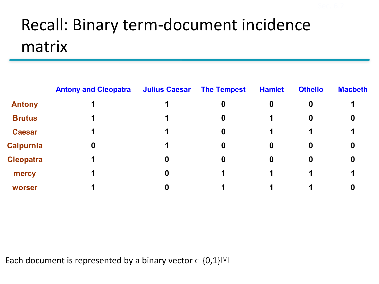#### Recall: Binary term-document incidence matrix

|                  | <b>Antony and Cleopatra</b> | <b>Julius Caesar</b> | <b>The Tempest</b> | <b>Hamlet</b>    | <b>Othello</b>   | <b>Macbeth</b> |
|------------------|-----------------------------|----------------------|--------------------|------------------|------------------|----------------|
| <b>Antony</b>    |                             |                      | 0                  | 0                | $\boldsymbol{0}$ |                |
| <b>Brutus</b>    |                             |                      | $\boldsymbol{0}$   |                  | $\bf{0}$         | 0              |
| <b>Caesar</b>    |                             |                      | 0                  |                  |                  |                |
| <b>Calpurnia</b> | 0                           | 1                    | $\boldsymbol{0}$   | $\boldsymbol{0}$ | $\bf{0}$         | 0              |
| <b>Cleopatra</b> |                             | 0                    | 0                  | 0                | $\boldsymbol{0}$ |                |
| mercy            |                             | 0                    |                    |                  | 1                |                |
| worser           |                             |                      |                    |                  |                  |                |

Each document is represented by a binary vector  $\in \{0,1\}^{|\vee|}$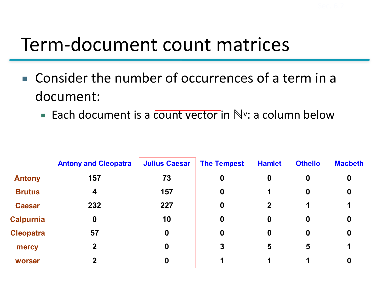# Term-document count matrices

- Consider the number of occurrences of a term in a document:
	- Each document is a count vector in N<sup>v</sup>: a column below

|                  | <b>Antony and Cleopatra</b> | <b>Julius Caesar</b> | <b>The Tempest</b> | <b>Hamlet</b> | <b>Othello</b>   | <b>Macbeth</b> |
|------------------|-----------------------------|----------------------|--------------------|---------------|------------------|----------------|
| <b>Antony</b>    | 157                         | 73                   | 0                  | 0             | 0                | 0              |
| <b>Brutus</b>    | 4                           | 157                  | $\boldsymbol{0}$   | 1             | $\boldsymbol{0}$ | 0              |
| <b>Caesar</b>    | 232                         | 227                  | $\boldsymbol{0}$   | $\mathbf 2$   | 1                |                |
| <b>Calpurnia</b> | $\bf{0}$                    | 10                   | 0                  | 0             | 0                | 0              |
| <b>Cleopatra</b> | 57                          | $\mathbf 0$          | $\boldsymbol{0}$   | 0             | 0                | 0              |
| mercy            | $\mathbf{2}$                | $\boldsymbol{0}$     | 3                  | 5             | 5                |                |
| worser           |                             | $\boldsymbol{0}$     |                    |               |                  |                |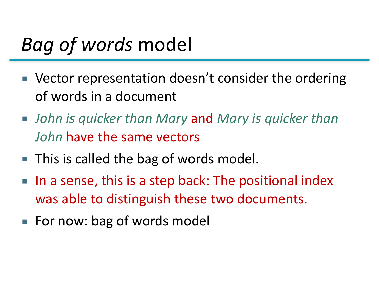#### *Bag of words* model

- Vector representation doesn't consider the ordering of words in a document
- *John is quicker than Mary* and Mary is quicker than *John* have the same vectors
- This is called the **bag of words** model.
- In a sense, this is a step back: The positional index was able to distinguish these two documents.
- For now: bag of words model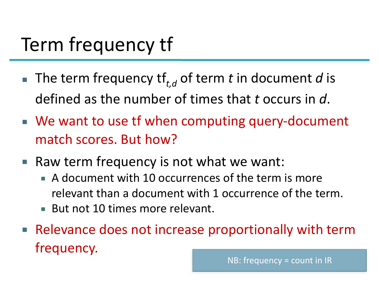# Term frequency tf

- **The term frequency**  $\mathsf{tf}_{t,d}$  **of term** *t* **in document** *d* **is** defined as the number of times that *t* occurs in d.
- We want to use tf when computing query-document match scores. But how?
- Raw term frequency is not what we want:
	- A document with 10 occurrences of the term is more relevant than a document with 1 occurrence of the term.
	- But not 10 times more relevant.
- Relevance does not increase proportionally with term frequency. NB: frequency = count in IR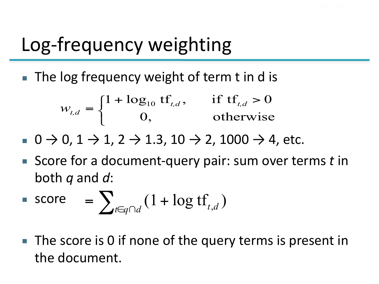# Log-frequency weighting

 $\blacksquare$  The log frequency weight of term t in d is

$$
w_{t,d} = \begin{cases} 1 + \log_{10} t f_{t,d}, & \text{if } tf_{t,d} > 0 \\ 0, & \text{otherwise} \end{cases}
$$

■  $0 \to 0$ ,  $1 \to 1$ ,  $2 \to 1.3$ ,  $10 \to 2$ ,  $1000 \to 4$ , etc.

■ Score for a document-query pair: sum over terms *t* in both *q* and *d*:

$$
\blacksquare \text{ score } = \sum_{t \in q \cap d} (1 + \log t \mathbf{f}_{t,d})
$$

 $\blacksquare$  The score is 0 if none of the query terms is present in the document.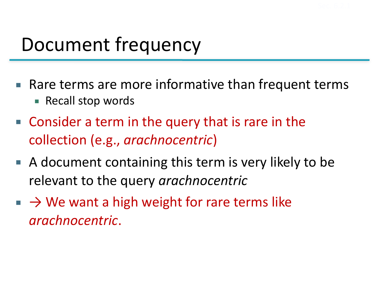## Document frequency

- $\blacksquare$  Rare terms are more informative than frequent terms ■ Recall stop words
- Consider a term in the query that is rare in the collection (e.g., *arachnocentric*)
- $\blacksquare$  A document containing this term is very likely to be relevant to the query *arachnocentric*
- $\blacksquare \rightarrow \mathsf{W}\mathsf{e}$  want a high weight for rare terms like *arachnocentric*.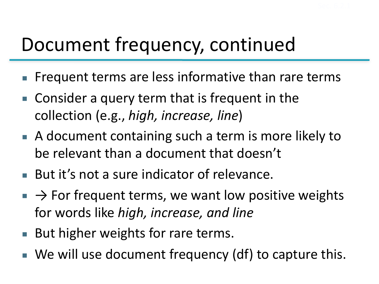## Document frequency, continued

- Frequent terms are less informative than rare terms
- $\blacksquare$  Consider a query term that is frequent in the collection (e.g., *high, increase, line*)
- A document containing such a term is more likely to be relevant than a document that doesn't
- But it's not a sure indicator of relevance.
- $\rightarrow$  For frequent terms, we want low positive weights for words like *high, increase, and line*
- But higher weights for rare terms.
- We will use document frequency (df) to capture this.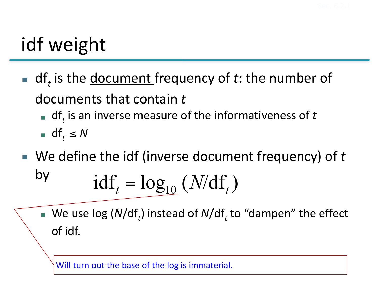# idf weight

- **I** df<sub>t</sub> is the <u>document</u> frequency of *t*: the number of documents that contain t
	- df<sub>t</sub> is an inverse measure of the informativeness of t
	- df<sub>t</sub>  $\leq N$
- We define the idf (inverse document frequency) of t by  $idf_t = log_{10} (N/df_t)$ 
	- We use log (*N*/df<sub>*t*</sub>) instead of *N*/df<sub>*t*</sub> to "dampen" the effect of idf.

Will turn out the base of the log is immaterial.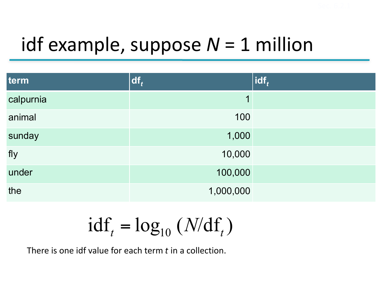# idf example, suppose  $N = 1$  million

| term      | $df_t$    | $ $ idf, |
|-----------|-----------|----------|
| calpurnia | 1         |          |
| animal    | 100       |          |
| sunday    | 1,000     |          |
| fly       | 10,000    |          |
| under     | 100,000   |          |
| the       | 1,000,000 |          |

$$
\text{idf}_t = \log_{10} \left( \frac{N}{df}_t \right)
$$

There is one idf value for each term *t* in a collection.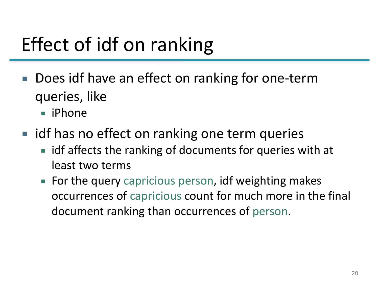# Effect of idf on ranking

- Does idf have an effect on ranking for one-term queries, like
	- iPhone
- idf has no effect on ranking one term queries
	- idf affects the ranking of documents for queries with at least two terms
	- For the query capricious person, idf weighting makes occurrences of capricious count for much more in the final document ranking than occurrences of person.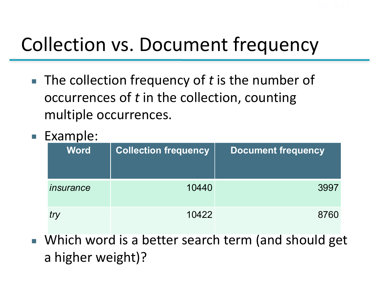# Collection vs. Document frequency

- The collection frequency of t is the number of occurrences of t in the collection, counting multiple occurrences.
- Example:

| <b>Word</b> | <b>Collection frequency</b> | <b>Document frequency</b> |
|-------------|-----------------------------|---------------------------|
| insurance   | 10440                       | 3997                      |
| try         | 10422                       | 8760                      |

■ Which word is a better search term (and should get a higher weight)?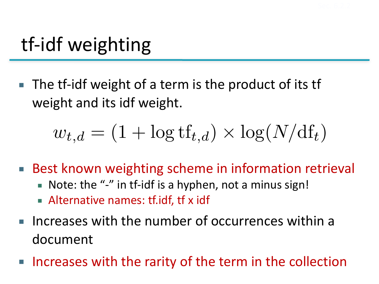# tf-idf weighting

■ The tf-idf weight of a term is the product of its tf weight and its idf weight.

$$
w_{t,d} = (1 + \log t f_{t,d}) \times \log(N/d f_t)
$$

- Best known weighting scheme in information retrieval
	- Note: the "-" in tf-idf is a hyphen, not a minus sign!
	- **EX Alternative names: tf.idf, tf x idf**
- **Increases with the number of occurrences within a** document
- Increases with the rarity of the term in the collection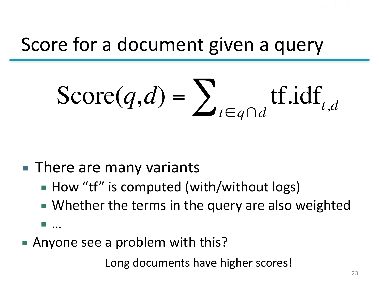#### Score for a document given a query

$$
\text{Score}(q,d) = \sum_{t \in q \cap d} \text{tf.idf}_{t,d}
$$

#### ■ There are many variants

- How "tf" is computed (with/without logs)
- Whether the terms in the query are also weighted
- …
- Anyone see a problem with this?

Long documents have higher scores!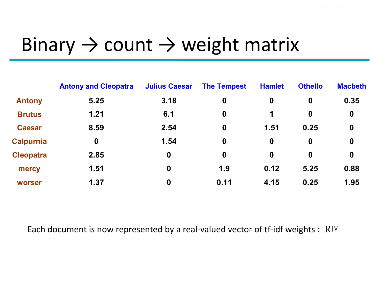#### Binary  $\rightarrow$  count  $\rightarrow$  weight matrix

|                  | <b>Antony and Cleopatra</b> | <b>Julius Caesar</b> | <b>The Tempest</b> | <b>Hamlet</b>    | <b>Othello</b> | <b>Macbeth</b>   |
|------------------|-----------------------------|----------------------|--------------------|------------------|----------------|------------------|
| <b>Antony</b>    | 5.25                        | 3.18                 | $\boldsymbol{0}$   | $\boldsymbol{0}$ | $\mathbf 0$    | 0.35             |
| <b>Brutus</b>    | 1.21                        | 6.1                  | $\boldsymbol{0}$   | 1                | $\mathbf 0$    | $\boldsymbol{0}$ |
| <b>Caesar</b>    | 8.59                        | 2.54                 | $\boldsymbol{0}$   | 1.51             | 0.25           | $\mathbf 0$      |
| <b>Calpurnia</b> | $\boldsymbol{0}$            | 1.54                 | $\boldsymbol{0}$   | $\boldsymbol{0}$ | $\mathbf 0$    | $\boldsymbol{0}$ |
| <b>Cleopatra</b> | 2.85                        | $\boldsymbol{0}$     | $\boldsymbol{0}$   | $\mathbf 0$      | $\mathbf 0$    | $\boldsymbol{0}$ |
| mercy            | 1.51                        | $\mathbf 0$          | 1.9                | 0.12             | 5.25           | 0.88             |
| worser           | 1.37                        | 0                    | 0.11               | 4.15             | 0.25           | 1.95             |

Each document is now represented by a real-valued vector of tf-idf weights  $\in$  R|V|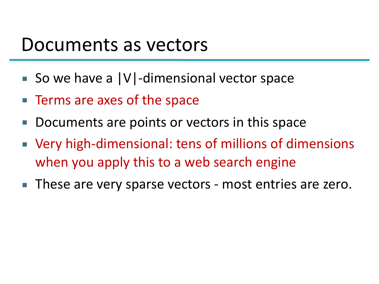#### Documents as vectors

- So we have a  $|V|$ -dimensional vector space
- Terms are axes of the space
- Documents are points or vectors in this space
- Very high-dimensional: tens of millions of dimensions when you apply this to a web search engine
- These are very sparse vectors most entries are zero.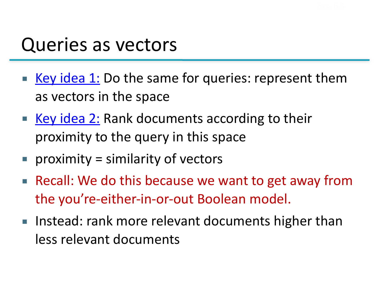#### Queries as vectors

- Key idea 1: Do the same for queries: represent them as vectors in the space
- Key idea 2: Rank documents according to their proximity to the query in this space
- **proximity** = similarity of vectors
- Recall: We do this because we want to get away from the you're-either-in-or-out Boolean model.
- Instead: rank more relevant documents higher than less relevant documents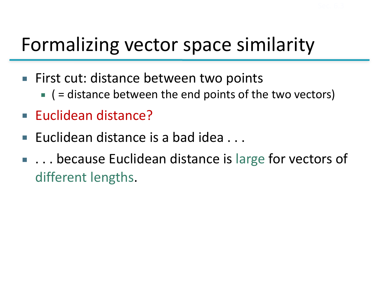#### Formalizing vector space similarity

- First cut: distance between two points
	- $\blacksquare$  ( = distance between the end points of the two vectors)
- Euclidean distance?
- **Euclidean distance is a bad idea...**
- ... because Euclidean distance is large for vectors of different lengths.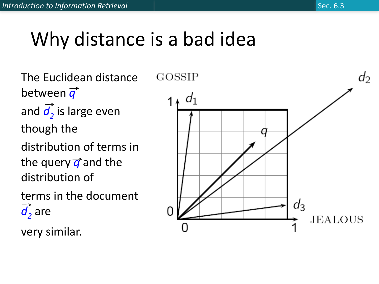# Why distance is a bad idea

The Euclidean distance between  $\overrightarrow{q}$ and  $\overrightarrow{d_2}$  is large even though the distribution of terms in the query  $\vec{q}$  and the distribution of terms in the document  $\overrightarrow{d}$  are

very similar.

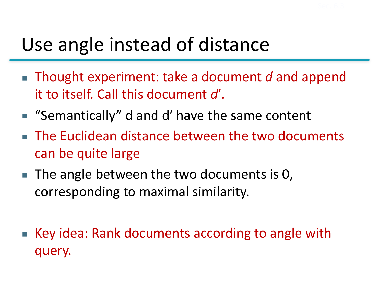# Use angle instead of distance

- Thought experiment: take a document d and append it to itself. Call this document d'.
- "Semantically" d and d' have the same content
- **EXAL The Euclidean distance between the two documents** can be quite large
- The angle between the two documents is 0, corresponding to maximal similarity.
- Key idea: Rank documents according to angle with query.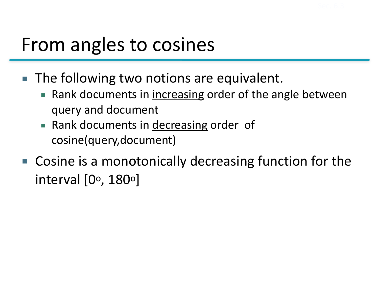#### From angles to cosines

- The following two notions are equivalent.
	- Rank documents in increasing order of the angle between query and document
	- Rank documents in decreasing order of cosine(query,document)
- $\blacksquare$  Cosine is a monotonically decreasing function for the interval  $[0^\circ, 180^\circ]$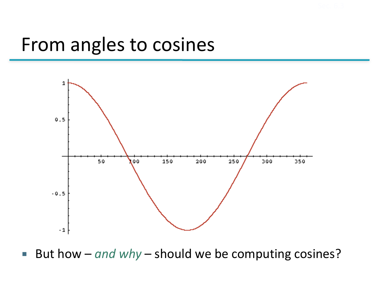#### From angles to cosines



■ But how – *and why* – should we be computing cosines?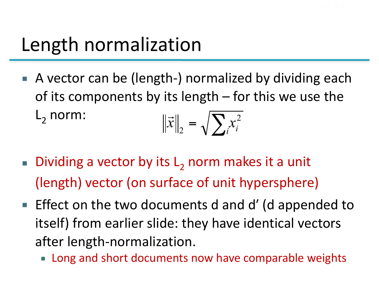# Length normalization

- A vector can be (length-) normalized by dividing each of its components by its length  $-$  for this we use the  $L<sub>2</sub>$  norm:  $\left\| \vec{x} \right\|_2 = \sqrt{\sum_i x_i^2}$ 2  $\rightarrow$
- **Dividing a vector by its L**, norm makes it a unit (length) vector (on surface of unit hypersphere)
- **Effect on the two documents d and d' (d appended to** itself) from earlier slide: they have identical vectors after length-normalization.
	- Long and short documents now have comparable weights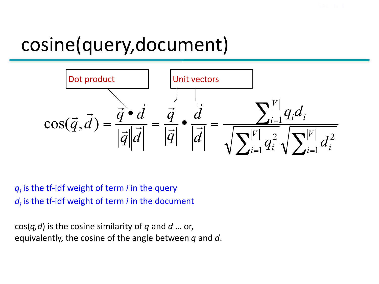## cosine(query,document)



 $q_i$  is the tf-idf weight of term *i* in the query  $d_i$  is the tf-idf weight of term *i* in the document

 $cos(q, d)$  is the cosine similarity of q and d ... or, equivalently, the cosine of the angle between q and d.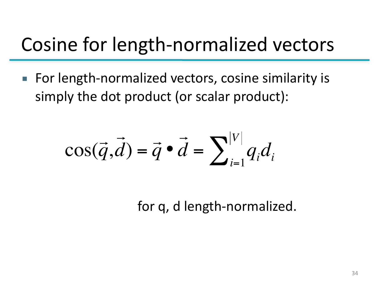#### Cosine for length-normalized vectors

■ For length-normalized vectors, cosine similarity is simply the dot product (or scalar product):

$$
\cos(\vec{q}, \vec{d}) = \vec{q} \cdot \vec{d} = \sum_{i=1}^{|V|} q_i d_i
$$

for q, d length-normalized.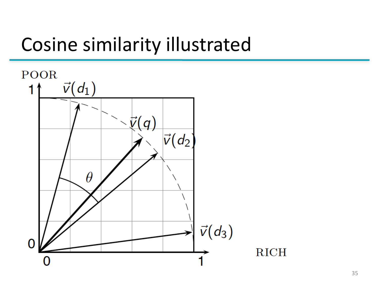#### Cosine similarity illustrated

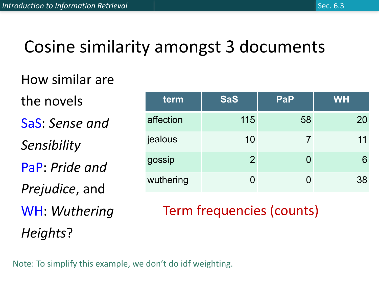#### Cosine similarity amongst 3 documents

#### How similar are

the novels SaS: Sense and *Sensibility* PaP: *Pride and Prejudice*, and

WH: Wuthering *Heights*?

| term      | <b>SaS</b>     | PaP      | <b>WH</b> |
|-----------|----------------|----------|-----------|
| affection | 115            | 58       | 20        |
| jealous   | 10             |          | 11        |
| gossip    | $\overline{2}$ | $\Omega$ | 6         |
| wuthering |                | Ŋ        | 38        |

#### Term frequencies (counts)

Note: To simplify this example, we don't do idf weighting.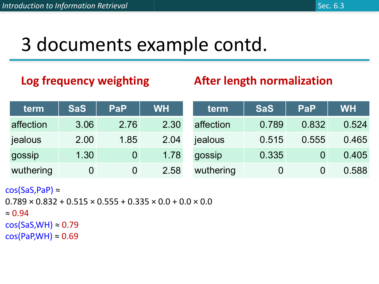## 3 documents example contd.

#### Log frequency weighting

#### **After length normalization**

| term      | <b>SaS</b>     | <b>PaP</b>     | <b>WH</b> | term      | <b>SaS</b>     | <b>PaP</b> | <b>WH</b> |
|-----------|----------------|----------------|-----------|-----------|----------------|------------|-----------|
| affection | 3.06           | 2.76           | 2.30      | affection | 0.789          | 0.832      | 0.524     |
| jealous   | 2.00           | 1.85           | 2.04      | jealous   | 0.515          | 0.555      | 0.465     |
| gossip    | 1.30           | $\overline{0}$ | 1.78      | gossip    | 0.335          |            | 0.405     |
| wuthering | $\overline{0}$ | $\overline{0}$ | 2.58      | wuthering | $\overline{0}$ |            | 0.588     |

 $cos(SaS,PaP) \approx$ 

```
0.789 \times 0.832 + 0.515 \times 0.555 + 0.335 \times 0.0 + 0.0 \times 0.0≈ 0.94cos(SaS, WH) \approx 0.79cos(PaP, WH) \approx 0.69
```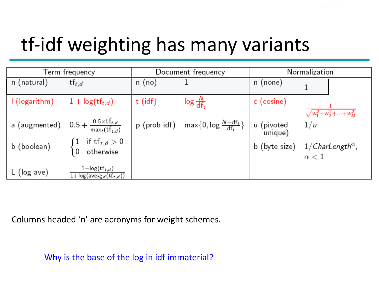# tf-idf weighting has many variants

| Term frequency |                                                                                        |           | Document frequency                                   | Normalization         |                                                         |  |  |
|----------------|----------------------------------------------------------------------------------------|-----------|------------------------------------------------------|-----------------------|---------------------------------------------------------|--|--|
| n (natural)    | $\mathsf{t} \mathsf{t}_{t,d}$                                                          | n (no)    |                                                      | n (none)              |                                                         |  |  |
| I (logarithm)  | $1 + \log(\text{tf}_{t,d})$                                                            | $t$ (idf) | $\log \frac{N}{\text{d}f}$                           | c (cosine)            | $\sqrt{w_1^2 + w_2^2 +  + w_M^2}$                       |  |  |
|                | a (augmented) $0.5 + \frac{0.5 \times \text{tf}_{t,d}}{\max_t(\text{tf}_{t,d})}$       |           | p (prob idf) max $\{0, \log \frac{N - df_t}{df_t}\}$ | u (pivoted<br>unique) | 1/u                                                     |  |  |
| b (boolean)    | $\begin{cases} 1 & \text{if } \mathrm{tf}_{t,d} > 0\ 0 & \text{otherwise} \end{cases}$ |           |                                                      |                       | b (byte size) $1/CharLength^{\alpha}$ ,<br>$\alpha < 1$ |  |  |
| $L$ (log ave)  | $1 + \log(\text{tf}_{t,d})$<br>$1 + \log(\text{ave}_{t \in d}(\text{tf}_{t,d}))$       |           |                                                      |                       |                                                         |  |  |

Columns headed 'n' are acronyms for weight schemes.

Why is the base of the log in idf immaterial?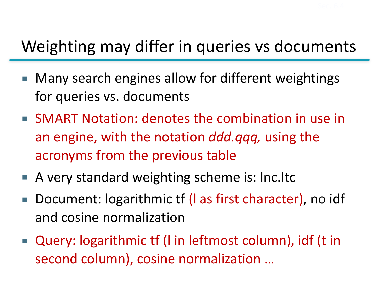#### Weighting may differ in queries vs documents

- Many search engines allow for different weightings for queries vs. documents
- SMART Notation: denotes the combination in use in an engine, with the notation *ddd.qqq*, using the acronyms from the previous table
- A very standard weighting scheme is: lnc.ltc
- Document: logarithmic tf (I as first character), no idf and cosine normalization
- Query: logarithmic tf (I in leftmost column), idf (t in second column), cosine normalization ...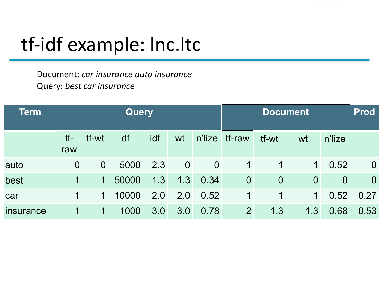# tf-idf example: Inc.ltc

Document: *car insurance auto insurance* Query: best car insurance

| <b>Term</b> | Query                   |                |       |     |                |                | <b>Document</b> |                |                |                | <b>Prod</b>    |
|-------------|-------------------------|----------------|-------|-----|----------------|----------------|-----------------|----------------|----------------|----------------|----------------|
|             | $tf-$<br>raw            | tf-wt          | df    | idf | wt             | n'lize         | tf-raw          | tf-wt          | wt             | n'lize         |                |
| auto        | $\overline{0}$          | $\overline{0}$ | 5000  | 2.3 | $\overline{0}$ | $\overline{0}$ | $\mathbf 1$     | 1              | $\mathbf 1$    | 0.52           | $\overline{0}$ |
| best        | $\overline{\mathbf{1}}$ | $\mathbf 1$    | 50000 | 1.3 | 1.3            | 0.34           | $\overline{0}$  | $\overline{0}$ | $\overline{0}$ | $\overline{0}$ | $\overline{0}$ |
| car         | 1                       | $\mathbf 1$    | 10000 | 2.0 | 2.0            | 0.52           | 1               | 1              | 1              | 0.52           | 0.27           |
| insurance   | $\mathbf 1$             | 1              | 1000  | 3.0 | 3.0            | 0.78           | $\overline{2}$  | 1.3            | 1.3            | 0.68           | 0.53           |